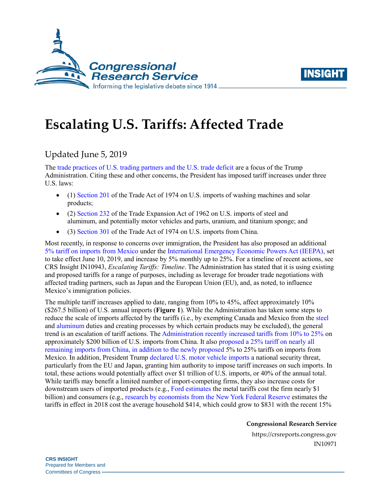



# **Escalating U.S. Tariffs: Affected Trade**

## Updated June 5, 2019

The [trade practices of U.S. trading partners and the U.S. trade deficit](https://www.whitehouse.gov/briefings-statements/press-conference-president-trump-g7-summit/) are a focus of the Trump Administration. Citing these and other concerns, the President has imposed tariff increases under three U.S. laws:

- (1) [Section 201](https://crsreports.congress.gov/product/pdf/IF/IF10786) of the Trade Act of 1974 on U.S. imports of washing machines and solar products;
- (2) [Section 232](https://crsreports.congress.gov/product/pdf/IF/IF10667) of the Trade Expansion Act of 1962 on U.S. imports of steel and aluminum, and potentially motor vehicles and parts, uranium, and titanium sponge; and
- (3) [Section 301](https://crsreports.congress.gov/product/pdf/IF/IF10708) of the Trade Act of 1974 on U.S. imports from China.

Most recently, in response to concerns over immigration, the President has also proposed an additional [5% tariff on imports from Mexico](https://www.whitehouse.gov/briefings-statements/statement-president-regarding-emergency-measures-address-border-crisis/) under the [International Emergency Economic Powers Act \(IEEPA\),](https://crsreports.congress.gov/product/pdf/R/R45618) set to take effect June 10, 2019, and increase by 5% monthly up to 25%. For a timeline of recent actions, see CRS Insight IN10943, *[Escalating Tariffs: Timeline](https://crsreports.congress.gov/product/pdf/IN/IN10943)*. The Administration has stated that it is using existing and proposed tariffs for a range of purposes, including as leverage for broader trade negotiations with affected trading partners, such as Japan and the European Union (EU), and, as noted, to influence Mexico's immigration policies.

The multiple tariff increases applied to date, ranging from 10% to 45%, affect approximately 10% (\$267.5 billion) of U.S. annual imports (**[Figure 1](#page-1-0)**). While the Administration has taken some steps to reduce the scale of imports affected by the tariffs (i.e., by exempting Canada and Mexico from the [steel](https://www.govinfo.gov/content/pkg/FR-2019-05-23/pdf/2019-11002.pdf) and [aluminum](https://www.govinfo.gov/content/pkg/FR-2019-05-23/pdf/2019-10999.pdf) duties and creating processes by which certain products may be excluded), the general trend is an escalation of tariff actions. The Administration recently [increased tariffs from 10% to 25%](https://www.federalregister.gov/documents/2019/05/09/2019-09681/notice-of-modification-of-section-301-action-chinas-acts-policies-and-practices-related-to) on approximately \$200 billion of U.S. imports from China. It also [proposed a 25% tariff on nearly all](https://www.federalregister.gov/documents/2019/05/17/2019-10191/request-for-comments-concerning-proposed-modification-of-action-pursuant-to-section-301-chinas-acts)  [remaining imports from China,](https://www.federalregister.gov/documents/2019/05/17/2019-10191/request-for-comments-concerning-proposed-modification-of-action-pursuant-to-section-301-chinas-acts) in addition to the newly proposed 5% to 25% tariffs on imports from Mexico. In addition, President Trump [declared U.S. motor vehicle imports](https://www.govinfo.gov/content/pkg/FR-2019-05-21/pdf/2019-10774.pdf) a national security threat, particularly from the EU and Japan, granting him authority to impose tariff increases on such imports. In total, these actions would potentially affect over \$1 trillion of U.S. imports, or 40% of the annual total. While tariffs may benefit a limited number of import-competing firms, they also increase costs for downstream users of imported products (e.g., [Ford estimates t](https://www.reuters.com/article/us-ford-motor-tariffs/trump-metals-tariffs-will-cost-ford-1-billion-in-profits-ceo-says-idUSKCN1M61ZN)he metal tariffs cost the firm nearly \$1 billion) and consumers (e.g., [research by economists from the](https://libertystreeteconomics.newyorkfed.org/2019/05/new-china-tariffs-increase-costs-to-us-households.html) New York Federal Reserve estimates the tariffs in effect in 2018 cost the average household \$414, which could grow to \$831 with the recent 15%

**Congressional Research Service**

https://crsreports.congress.gov IN10971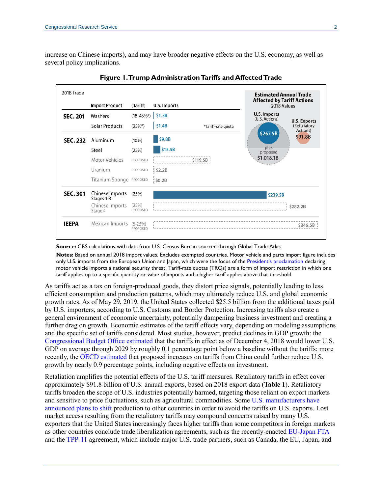increase on Chinese imports), and may have broader negative effects on the U.S. economy, as well as several policy implications.

<span id="page-1-0"></span>

**Figure 1. Trump Administration Tariffs and Affected Trade**

#### Source: CRS calculations with data from U.S. Census Bureau sourced through Global Trade Atlas.

**Notes:** Based on annual 2018 import values. Excludes exempted countries. Motor vehicle and parts import figure includes only U.S. imports from the European Union and Japan, which were the focus of the President's [proclamation](https://www.govinfo.gov/content/pkg/FR-2019-05-21/pdf/2019-10774.pdf) declaring motor vehicle imports a national security threat. Tariff-rate quotas (TRQs) are a form of import restriction in which one tariff applies up to a specific quantity or value of imports and a higher tariff applies above that threshold.

As tariffs act as a tax on foreign-produced goods, they distort price signals, potentially leading to less efficient consumption and production patterns, which may ultimately reduce U.S. and global economic growth rates. As of May 29, 2019, the United States collected \$25.5 billion from the additional taxes paid by U.S. importers, according to U.S. Customs and Border Protection. Increasing tariffs also create a general environment of economic uncertainty, potentially dampening business investment and creating a further drag on growth. Economic estimates of the tariff effects vary, depending on modeling assumptions and the specific set of tariffs considered. Most studies, however, predict declines in GDP growth: the [Congressional Budget Office estimated](https://www.cbo.gov/system/files?file=2019-01/54918-Outlook.pdf) that the tariffs in effect as of December 4, 2018 would lower U.S. GDP on average through 2029 by roughly 0.1 percentage point below a baseline without the tariffs; more recently, the [OECD estimated](http://www.oecd.org/eco/outlook/) that proposed increases on tariffs from China could further reduce U.S. growth by nearly 0.9 percentage points, including negative effects on investment.

Retaliation amplifies the potential effects of the U.S. tariff measures. Retaliatory tariffs in effect cover approximately \$91.8 billion of U.S. annual exports, based on 2018 export data (**[Table 1](#page-2-0)**). Retaliatory tariffs broaden the scope of U.S. industries potentially harmed, targeting those reliant on export markets and sensitive to price fluctuations, such as agricultural commodities. Some [U.S. manufacturers have](https://www.ft.com/content/54a6cc82-7867-11e8-8e67-1e1a0846c475?emailId=5b3156c6acfae500047535d4&segmentId=60a126e8-df3c-b524-c979-f90bde8a67cd)  [announced plans to shift](https://www.ft.com/content/54a6cc82-7867-11e8-8e67-1e1a0846c475?emailId=5b3156c6acfae500047535d4&segmentId=60a126e8-df3c-b524-c979-f90bde8a67cd) production to other countries in order to avoid the tariffs on U.S. exports. Lost market access resulting from the retaliatory tariffs may compound concerns raised by many U.S. exporters that the United States increasingly faces higher tariffs than some competitors in foreign markets as other countries conclude trade liberalization agreements, such as the recently-enacted [EU-Japan FTA](http://ec.europa.eu/trade/policy/in-focus/eu-japan-economic-partnership-agreement/) and th[e TPP-11](https://www.mfat.govt.nz/en/trade/free-trade-agreements/free-trade-agreements-in-force/cptpp/cptpp-overview/) agreement, which include major U.S. trade partners, such as Canada, the EU, Japan, and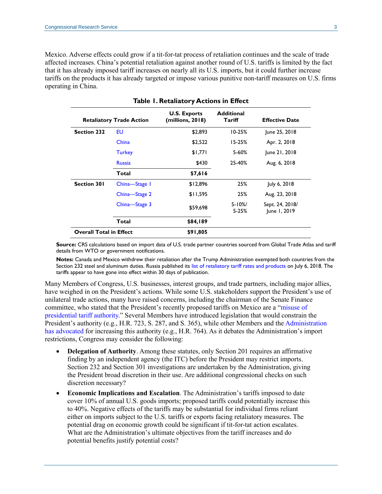Mexico. Adverse effects could grow if a tit-for-tat process of retaliation continues and the scale of trade affected increases. China's potential retaliation against another round of U.S. tariffs is limited by the fact that it has already imposed tariff increases on nearly all its U.S. imports, but it could further increase tariffs on the products it has already targeted or impose various punitive non-tariff measures on U.S. firms operating in China.

<span id="page-2-0"></span>

| <b>Table 1. Retaliatory Actions in Effect</b> |               |                                         |                             |                                 |
|-----------------------------------------------|---------------|-----------------------------------------|-----------------------------|---------------------------------|
| <b>Retaliatory Trade Action</b>               |               | <b>U.S. Exports</b><br>(millions, 2018) | <b>Additional</b><br>Tariff | <b>Effective Date</b>           |
| <b>Section 232</b>                            | EU            | \$2,893                                 | $10 - 25%$                  | June 25, 2018                   |
|                                               | China         | \$2,522                                 | $15 - 25%$                  | Apr. 2, 2018                    |
|                                               | <b>Turkey</b> | \$1,771                                 | 5-60%                       | June 21, 2018                   |
|                                               | <b>Russia</b> | \$430                                   | 25-40%                      | Aug. 6, 2018                    |
|                                               | Total         | \$7,616                                 |                             |                                 |
| <b>Section 301</b>                            | China-Stage 1 | \$12,896                                | 25%                         | July 6, 2018                    |
|                                               | China-Stage 2 | \$11,595                                | 25%                         | Aug. 23, 2018                   |
|                                               | China-Stage 3 | \$59,698                                | $5 - 10\%$<br>$5 - 25%$     | Sept. 24, 2018/<br>June 1, 2019 |
|                                               | Total         | \$84,189                                |                             |                                 |
| <b>Overall Total in Effect</b>                |               | \$91,805                                |                             |                                 |

**Source:** CRS calculations based on import data of U.S. trade partner countries sourced from Global Trade Atlas and tariff details from WTO or government notifications.

**Notes:** Canada and Mexico withdrew their retaliation after the Trump Administration exempted both countries from the Section 232 steel and aluminum duties. Russia published its [list of retaliatory tariff rates and products](http://www.pravo.fso.gov.ru/laws/acts/53/555656.html) on July 6, 2018. The tariffs appear to have gone into effect within 30 days of publication.

Many Members of Congress, U.S. businesses, interest groups, and trade partners, including major allies, have weighed in on the President's actions. While some U.S. stakeholders support the President's use of unilateral trade actions, many have raised concerns, including the chairman of the Senate Finance committee, who stated that the President's recently proposed tariffs on Mexico are a ["misuse of](https://www.grassley.senate.gov/news/news-releases/grassley-statement-tariff-announcement)  [presidential tariff authority.](https://www.grassley.senate.gov/news/news-releases/grassley-statement-tariff-announcement)" Several Members have introduced legislation that would constrain the President's authority (e.g., [H.R. 723,](http://www.congress.gov/cgi-lis/bdquery/z?d116:H.R.723:) [S. 287,](http://www.congress.gov/cgi-lis/bdquery/z?d116:S.287:) and [S. 365\)](http://www.congress.gov/cgi-lis/bdquery/z?d116:S.365:), while other Members and the [Administration](https://www.wsj.com/articles/a-tariff-issue-on-which-free-and-fair-traders-can-agree-11559084804)  [has advocated](https://www.wsj.com/articles/a-tariff-issue-on-which-free-and-fair-traders-can-agree-11559084804) for increasing this authority (e.g., [H.R. 764\)](http://www.congress.gov/cgi-lis/bdquery/z?d116:H.R.764:). As it debates the Administration's import restrictions, Congress may consider the following:

- **Delegation of Authority.** Among these statutes, only Section 201 requires an affirmative finding by an independent agency (the ITC) before the President may restrict imports. Section 232 and Section 301 investigations are undertaken by the Administration, giving the President broad discretion in their use. Are additional congressional checks on such discretion necessary?
- **Economic Implications and Escalation**. The Administration's tariffs imposed to date cover 10% of annual U.S. goods imports; proposed tariffs could potentially increase this to 40%. Negative effects of the tariffs may be substantial for individual firms reliant either on imports subject to the U.S. tariffs or exports facing retaliatory measures. The potential drag on economic growth could be significant if tit-for-tat action escalates. What are the Administration's ultimate objectives from the tariff increases and do potential benefits justify potential costs?